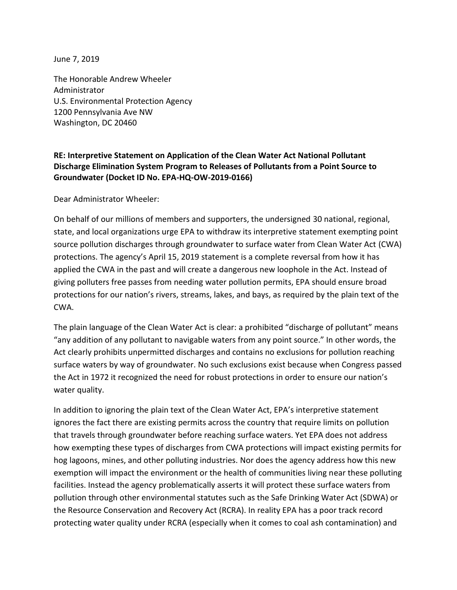June 7, 2019

The Honorable Andrew Wheeler Administrator U.S. Environmental Protection Agency 1200 Pennsylvania Ave NW Washington, DC 20460

## **RE: Interpretive Statement on Application of the Clean Water Act National Pollutant Discharge Elimination System Program to Releases of Pollutants from a Point Source to Groundwater (Docket ID No. EPA-HQ-OW-2019-0166)**

Dear Administrator Wheeler:

On behalf of our millions of members and supporters, the undersigned 30 national, regional, state, and local organizations urge EPA to withdraw its interpretive statement exempting point source pollution discharges through groundwater to surface water from Clean Water Act (CWA) protections. The agency's April 15, 2019 statement is a complete reversal from how it has applied the CWA in the past and will create a dangerous new loophole in the Act. Instead of giving polluters free passes from needing water pollution permits, EPA should ensure broad protections for our nation's rivers, streams, lakes, and bays, as required by the plain text of the CWA.

The plain language of the Clean Water Act is clear: a prohibited "discharge of pollutant" means "any addition of any pollutant to navigable waters from any point source." In other words, the Act clearly prohibits unpermitted discharges and contains no exclusions for pollution reaching surface waters by way of groundwater. No such exclusions exist because when Congress passed the Act in 1972 it recognized the need for robust protections in order to ensure our nation's water quality.

In addition to ignoring the plain text of the Clean Water Act, EPA's interpretive statement ignores the fact there are existing permits across the country that require limits on pollution that travels through groundwater before reaching surface waters. Yet EPA does not address how exempting these types of discharges from CWA protections will impact existing permits for hog lagoons, mines, and other polluting industries. Nor does the agency address how this new exemption will impact the environment or the health of communities living near these polluting facilities. Instead the agency problematically asserts it will protect these surface waters from pollution through other environmental statutes such as the Safe Drinking Water Act (SDWA) or the Resource Conservation and Recovery Act (RCRA). In reality EPA has a poor track record protecting water quality under RCRA (especially when it comes to coal ash contamination) and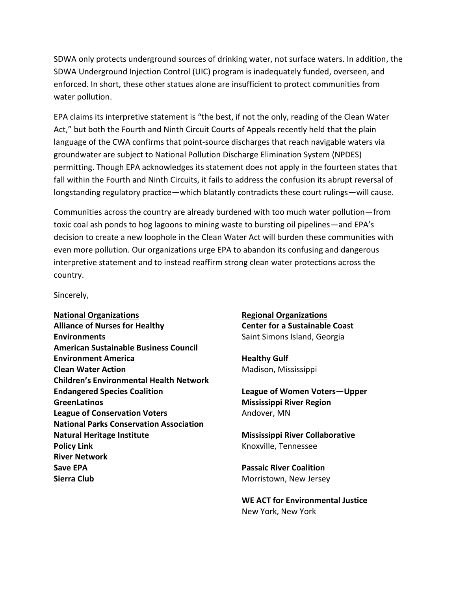SDWA only protects underground sources of drinking water, not surface waters. In addition, the SDWA Underground Injection Control (UIC) program is inadequately funded, overseen, and enforced. In short, these other statues alone are insufficient to protect communities from water pollution.

EPA claims its interpretive statement is "the best, if not the only, reading of the Clean Water Act," but both the Fourth and Ninth Circuit Courts of Appeals recently held that the plain language of the CWA confirms that point-source discharges that reach navigable waters via groundwater are subject to National Pollution Discharge Elimination System (NPDES) permitting. Though EPA acknowledges its statement does not apply in the fourteen states that fall within the Fourth and Ninth Circuits, it fails to address the confusion its abrupt reversal of longstanding regulatory practice—which blatantly contradicts these court rulings—will cause.

Communities across the country are already burdened with too much water pollution—from toxic coal ash ponds to hog lagoons to mining waste to bursting oil pipelines—and EPA's decision to create a new loophole in the Clean Water Act will burden these communities with even more pollution. Our organizations urge EPA to abandon its confusing and dangerous interpretive statement and to instead reaffirm strong clean water protections across the country.

Sincerely,

**National Organizations Alliance of Nurses for Healthy Environments American Sustainable Business Council Environment America Clean Water Action Children's Environmental Health Network Endangered Species Coalition GreenLatinos League of Conservation Voters National Parks Conservation Association Natural Heritage Institute Policy Link River Network Save EPA Sierra Club**

**Regional Organizations Center for a Sustainable Coast** Saint Simons Island, Georgia

**Healthy Gulf** Madison, Mississippi

**League of Women Voters—Upper Mississippi River Region** Andover, MN

**Mississippi River Collaborative** Knoxville, Tennessee

**Passaic River Coalition** Morristown, New Jersey

**WE ACT for Environmental Justice** New York, New York